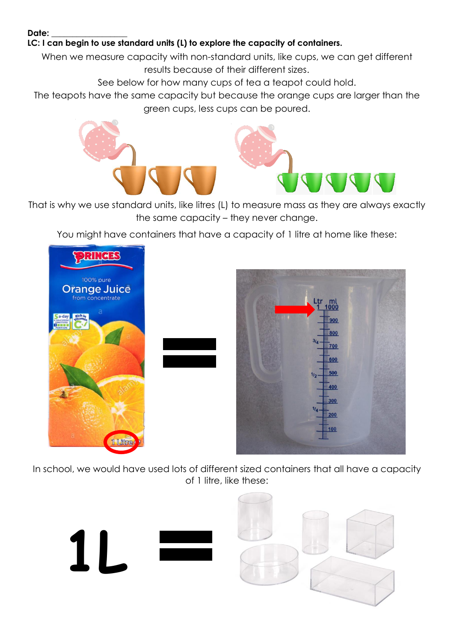## Date:

## **LC: I can begin to use standard units (L) to explore the capacity of containers.**

When we measure capacity with non-standard units, like cups, we can get different results because of their different sizes.

See below for how many cups of tea a teapot could hold.

The teapots have the same capacity but because the orange cups are larger than the green cups, less cups can be poured.



That is why we use standard units, like litres (L) to measure mass as they are always exactly the same capacity – they never change.

You might have containers that have a capacity of 1 litre at home like these:



In school, we would have used lots of different sized containers that all have a capacity of 1 litre, like these: